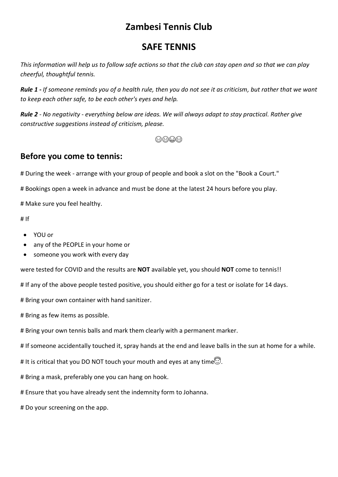# **Zambesi Tennis Club**

## **SAFE TENNIS**

*This information will help us to follow safe actions so that the club can stay open and so that we can play cheerful, thoughtful tennis.*

*Rule 1 - If someone reminds you of a health rule, then you do not see it as criticism, but rather that we want to keep each other safe, to be each other's eyes and help.*

*Rule 2 - No negativity - everything below are ideas. We will always adapt to stay practical. Rather give constructive suggestions instead of criticism, please.*

6606

#### **Before you come to tennis:**

# During the week - arrange with your group of people and book a slot on the "Book a Court."

# Bookings open a week in advance and must be done at the latest 24 hours before you play.

# Make sure you feel healthy.

# If

- YOU or
- any of the PEOPLE in your home or
- someone you work with every day

were tested for COVID and the results are **NOT** available yet, you should **NOT** come to tennis!!

# If any of the above people tested positive, you should either go for a test or isolate for 14 days.

# Bring your own container with hand sanitizer.

# Bring as few items as possible.

# Bring your own tennis balls and mark them clearly with a permanent marker.

# If someone accidentally touched it, spray hands at the end and leave balls in the sun at home for a while.

# It is critical that you DO NOT touch your mouth and eyes at any time.

# Bring a mask, preferably one you can hang on hook.

# Ensure that you have already sent the indemnity form to Johanna.

# Do your screening on the app.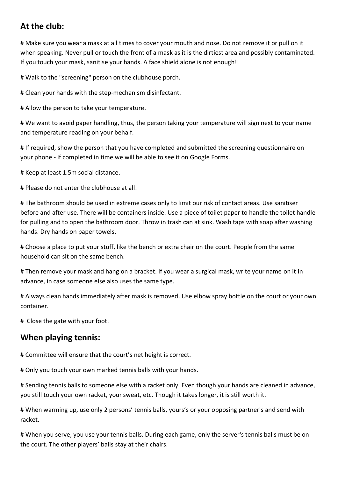### **At the club:**

# Make sure you wear a mask at all times to cover your mouth and nose. Do not remove it or pull on it when speaking. Never pull or touch the front of a mask as it is the dirtiest area and possibly contaminated. If you touch your mask, sanitise your hands. A face shield alone is not enough!!

# Walk to the "screening" person on the clubhouse porch.

# Clean your hands with the step-mechanism disinfectant.

# Allow the person to take your temperature.

# We want to avoid paper handling, thus, the person taking your temperature will sign next to your name and temperature reading on your behalf.

# If required, show the person that you have completed and submitted the screening questionnaire on your phone - if completed in time we will be able to see it on Google Forms.

# Keep at least 1.5m social distance.

# Please do not enter the clubhouse at all.

# The bathroom should be used in extreme cases only to limit our risk of contact areas. Use sanitiser before and after use. There will be containers inside. Use a piece of toilet paper to handle the toilet handle for pulling and to open the bathroom door. Throw in trash can at sink. Wash taps with soap after washing hands. Dry hands on paper towels.

# Choose a place to put your stuff, like the bench or extra chair on the court. People from the same household can sit on the same bench.

# Then remove your mask and hang on a bracket. If you wear a surgical mask, write your name on it in advance, in case someone else also uses the same type.

# Always clean hands immediately after mask is removed. Use elbow spray bottle on the court or your own container.

# Close the gate with your foot.

#### **When playing tennis:**

# Committee will ensure that the court's net height is correct.

# Only you touch your own marked tennis balls with your hands.

# Sending tennis balls to someone else with a racket only. Even though your hands are cleaned in advance, you still touch your own racket, your sweat, etc. Though it takes longer, it is still worth it.

# When warming up, use only 2 persons' tennis balls, yours's or your opposing partner's and send with racket.

# When you serve, you use your tennis balls. During each game, only the server's tennis balls must be on the court. The other players' balls stay at their chairs.